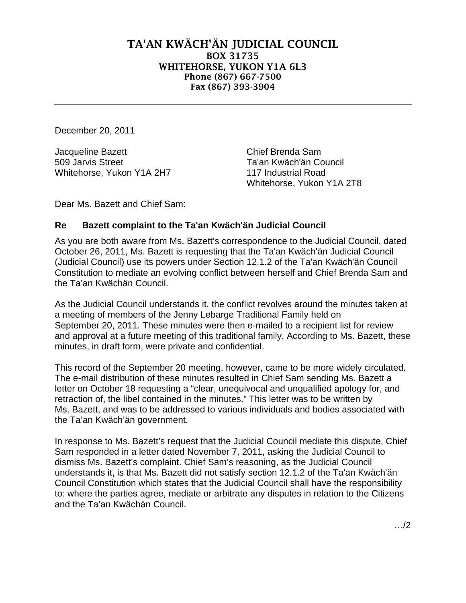## TA'AN KWÄCH'ÄN JUDICIAL COUNCIL BOX 31735 WHITEHORSE, YUKON Y1A 6L3 Phone (867) 667-7500 Fax (867) 393-3904

December 20, 2011

Jacqueline Bazett **Chief Brenda Sam** 509 Jarvis Street Ta'an Kwäch'än Council Whitehorse, Yukon Y1A 2H7 117 Industrial Road

Whitehorse, Yukon Y1A 2T8

Dear Ms. Bazett and Chief Sam:

## **Re Bazett complaint to the Ta'an Kwäch'än Judicial Council**

As you are both aware from Ms. Bazett's correspondence to the Judicial Council, dated October 26, 2011, Ms. Bazett is requesting that the Ta'an Kwäch'än Judicial Council (Judicial Council) use its powers under Section 12.1.2 of the Ta'an Kwäch'än Council Constitution to mediate an evolving conflict between herself and Chief Brenda Sam and the Ta'an Kwächän Council.

As the Judicial Council understands it, the conflict revolves around the minutes taken at a meeting of members of the Jenny Lebarge Traditional Family held on September 20, 2011. These minutes were then e-mailed to a recipient list for review and approval at a future meeting of this traditional family. According to Ms. Bazett, these minutes, in draft form, were private and confidential.

This record of the September 20 meeting, however, came to be more widely circulated. The e-mail distribution of these minutes resulted in Chief Sam sending Ms. Bazett a letter on October 18 requesting a "clear, unequivocal and unqualified apology for, and retraction of, the libel contained in the minutes." This letter was to be written by Ms. Bazett, and was to be addressed to various individuals and bodies associated with the Ta'an Kwäch'än government.

In response to Ms. Bazett's request that the Judicial Council mediate this dispute, Chief Sam responded in a letter dated November 7, 2011, asking the Judicial Council to dismiss Ms. Bazett's complaint. Chief Sam's reasoning, as the Judicial Council understands it, is that Ms. Bazett did not satisfy section 12.1.2 of the Ta'an Kwäch'än Council Constitution which states that the Judicial Council shall have the responsibility to: where the parties agree, mediate or arbitrate any disputes in relation to the Citizens and the Ta'an Kwächän Council.